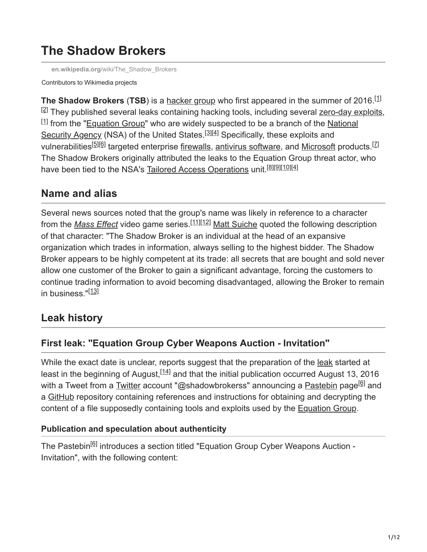# **The Shadow Brokers**

**en.wikipedia.org**[/wiki/The\\_Shadow\\_Brokers](https://en.wikipedia.org/wiki/The_Shadow_Brokers)

#### Contributors to Wikimedia projects

**The Shadow Brokers (TSB)** is a [hacker group](https://en.wikipedia.org/wiki/Hacker_group) who first appeared in the summer of 2016.<sup>[1]</sup> <sup>[2]</sup> They published several leaks containing hacking tools, including several [zero-day exploits](https://en.wikipedia.org/wiki/Zero-day_(computing)),  $^{[1]}$  [from the "E](https://en.wikipedia.org/wiki/National_Security_Agency)[quation Group](https://en.wikipedia.org/wiki/Equation_Group)[" who are widely suspected to be a branch of the National](https://en.wikipedia.org/wiki/National_Security_Agency) Security Agency (NSA) of the United States.<sup>[3][4]</sup> Specifically, these exploits and vulnerabilities<sup>[5][6]</sup> targeted enterprise <u>firewalls, antivirus software</u>, and <u>Microsoft</u> products.<sup>[7]</sup> The Shadow Brokers originally attributed the leaks to the Equation Group threat actor, who have been tied to the NSA's [Tailored Access Operations](https://en.wikipedia.org/wiki/Tailored_Access_Operations) unit.<sup>[8][9][10][4]</sup>

# **Name and alias**

Several news sources noted that the group's name was likely in reference to a character from the *[Mass Effect](https://en.wikipedia.org/wiki/Mass_Effect_(series))* video game series.<sup>[11][12]</sup> [Matt Suiche](https://en.wikipedia.org/wiki/Matt_Suiche) quoted the following description of that character: "The Shadow Broker is an individual at the head of an expansive organization which trades in information, always selling to the highest bidder. The Shadow Broker appears to be highly competent at its trade: all secrets that are bought and sold never allow one customer of the Broker to gain a significant advantage, forcing the customers to continue trading information to avoid becoming disadvantaged, allowing the Broker to remain in business."<sup>[13]</sup>

# **Leak history**

# **First leak: "Equation Group Cyber Weapons Auction - Invitation"**

While the exact date is unclear, reports suggest that the preparation of the [leak](https://en.wikipedia.org/wiki/Internet_leak) started at least in the beginning of August,  $[14]$  and that the initial publication occurred August 13, 2016 with a Tweet from a <u>Twitter</u> account "@shadowbrokerss" announcing a <u>Pastebin</u> page<sup>[6]</sup> and a [GitHub](https://en.wikipedia.org/wiki/GitHub) repository containing references and instructions for obtaining and decrypting the content of a file supposedly containing tools and exploits used by the [Equation Group.](https://en.wikipedia.org/wiki/Equation_Group)

## **Publication and speculation about authenticity**

The Pastebin<sup>[6]</sup> introduces a section titled "Equation Group Cyber Weapons Auction -Invitation", with the following content: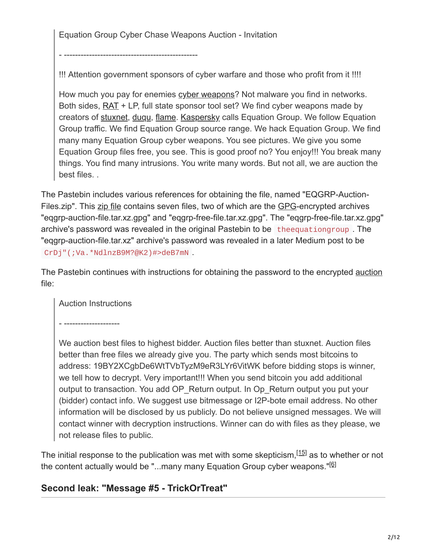Equation Group Cyber Chase Weapons Auction - Invitation

- ------------------------------------------------

!!! Attention government sponsors of cyber warfare and those who profit from it !!!!

How much you pay for enemies [cyber weapons?](https://en.wikipedia.org/wiki/Cyber_weapon) Not malware you find in networks. Both sides, [RAT](https://en.wikipedia.org/wiki/Remote_access_trojan) + LP, full state sponsor tool set? We find cyber weapons made by creators of [stuxnet](https://en.wikipedia.org/wiki/Stuxnet), [duqu,](https://en.wikipedia.org/wiki/Duqu) [flame.](https://en.wikipedia.org/wiki/Flame_(malware)) [Kaspersky](https://en.wikipedia.org/wiki/Kaspersky_Lab) calls Equation Group. We follow Equation Group traffic. We find Equation Group source range. We hack Equation Group. We find many many Equation Group cyber weapons. You see pictures. We give you some Equation Group files free, you see. This is good proof no? You enjoy!!! You break many things. You find many intrusions. You write many words. But not all, we are auction the best files. .

The Pastebin includes various references for obtaining the file, named "EQGRP-AuctionFiles.zip". This [zip file](https://en.wikipedia.org/wiki/Zip_(file_format)) contains seven files, two of which are the [GPG](https://en.wikipedia.org/wiki/GNU_Privacy_Guard)-encrypted archives "eqgrp-auction-file.tar.xz.gpg" and "eqgrp-free-file.tar.xz.gpg". The "eqgrp-free-file.tar.xz.gpg" archive's password was revealed in the original Pastebin to be theequationgroup . The "eqgrp-auction-file.tar.xz" archive's password was revealed in a later Medium post to be CrDj"(;Va.\*NdlnzB9M?@K2)#>deB7mN .

The Pastebin continues with instructions for obtaining the password to the encrypted [auction](https://en.wikipedia.org/wiki/Online_auction) file:

Auction Instructions

- --------------------

We auction best files to highest bidder. Auction files better than stuxnet. Auction files better than free files we already give you. The party which sends most bitcoins to address: 19BY2XCgbDe6WtTVbTyzM9eR3LYr6VitWK before bidding stops is winner, we tell how to decrypt. Very important!!! When you send bitcoin you add additional output to transaction. You add OP\_Return output. In Op\_Return output you put your (bidder) contact info. We suggest use bitmessage or I2P-bote email address. No other information will be disclosed by us publicly. Do not believe unsigned messages. We will contact winner with decryption instructions. Winner can do with files as they please, we not release files to public.

The initial response to the publication was met with some skepticism,  $[15]$  as to whether or not the content actually would be "...many many Equation Group cyber weapons."<sup>[6]</sup>

## **Second leak: "Message #5 - TrickOrTreat"**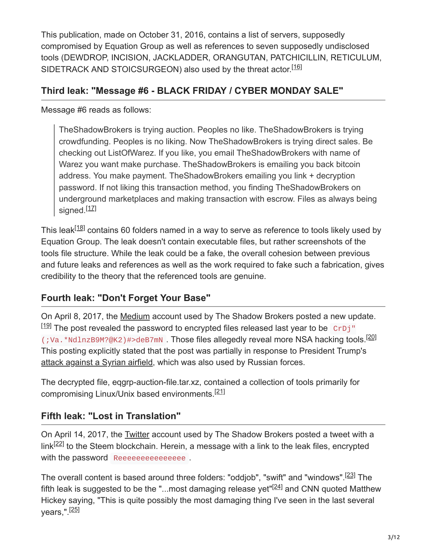This publication, made on October 31, 2016, contains a list of servers, supposedly compromised by Equation Group as well as references to seven supposedly undisclosed tools (DEWDROP, INCISION, JACKLADDER, ORANGUTAN, PATCHICILLIN, RETICULUM, SIDETRACK AND STOICSURGEON) also used by the threat actor.<sup>[16]</sup>

#### **Third leak: "Message #6 - BLACK FRIDAY / CYBER MONDAY SALE"**

Message #6 reads as follows:

TheShadowBrokers is trying auction. Peoples no like. TheShadowBrokers is trying crowdfunding. Peoples is no liking. Now TheShadowBrokers is trying direct sales. Be checking out ListOfWarez. If you like, you email TheShadowBrokers with name of Warez you want make purchase. TheShadowBrokers is emailing you back bitcoin address. You make payment. TheShadowBrokers emailing you link + decryption password. If not liking this transaction method, you finding TheShadowBrokers on underground marketplaces and making transaction with escrow. Files as always being signed.<sup>[17]</sup>

This leak<sup>[18]</sup> contains 60 folders named in a way to serve as reference to tools likely used by Equation Group. The leak doesn't contain executable files, but rather screenshots of the tools file structure. While the leak could be a fake, the overall cohesion between previous and future leaks and references as well as the work required to fake such a fabrication, gives credibility to the theory that the referenced tools are genuine.

# **Fourth leak: "Don't Forget Your Base"**

On April 8, 2017, the [Medium](https://en.wikipedia.org/wiki/Medium_(website)) account used by The Shadow Brokers posted a new update.  $^{[19]}$  The post revealed the password to encrypted files released last year to be  $\,$  CrDj" (; Va. \*NdlnzB9M?@K2)#>deB7mN. Those files allegedly reveal more NSA hacking tools.<sup>[20]</sup> This posting explicitly stated that the post was partially in response to President Trump's [attack against a Syrian airfield](https://en.wikipedia.org/wiki/2017_Shayrat_missile_strike), which was also used by Russian forces.

The decrypted file, eqgrp-auction-file.tar.xz, contained a collection of tools primarily for compromising Linux/Unix based environments.<sup>[21]</sup>

## **Fifth leak: "Lost in Translation"**

On April 14, 2017, the [Twitter](https://en.wikipedia.org/wiki/Twitter) account used by The Shadow Brokers posted a tweet with a link $^{[22]}$  to the Steem blockchain. Herein, a message with a link to the leak files, encrypted with the password Reeeeeeeeeeeeeeeee.

The overall content is based around three folders: "oddjob", "swift" and "windows".<sup>[23]</sup> The fifth leak is suggested to be the "...most damaging release yet" $[24]$  and CNN quoted Matthew Hickey saying, "This is quite possibly the most damaging thing I've seen in the last several years,".<sup>[<u>25]</u></sup>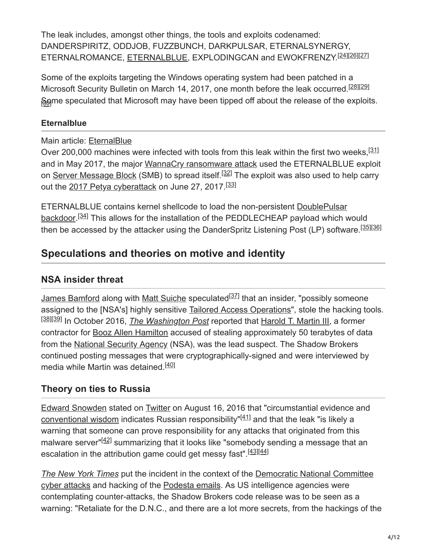The leak includes, amongst other things, the tools and exploits codenamed: DANDERSPIRITZ, ODDJOB, FUZZBUNCH, DARKPULSAR, ETERNALSYNERGY, ETERNALROMANCE, [ETERNALBLUE](https://en.wikipedia.org/wiki/ETERNALBLUE), EXPLODINGCAN and EWOKFRENZY.<sup>[24][26][27]</sup>

Some of the exploits targeting the Windows operating system had been patched in a Microsoft Security Bulletin on March 14, 2017, one month before the leak occurred.<sup>[28][29]</sup> §ome speculated that Microsoft may have been tipped off about the release of the exploits.

#### **Eternalblue**

Main article: [EternalBlue](https://en.wikipedia.org/wiki/EternalBlue)

Over 200,000 machines were infected with tools from this leak within the first two weeks, <sup>[31]</sup> and in May 2017, the major [WannaCry ransomware attack](https://en.wikipedia.org/wiki/WannaCry_ransomware_attack) used the ETERNALBLUE exploit on <u>Server Message Block</u> (SMB) to spread itself.<sup>[32]</sup> The exploit was also used to help carry out the [2017 Petya cyberattack](https://en.wikipedia.org/wiki/2017_Petya_cyberattack) on June 27, 2017.<sup>[33]</sup>

ETERNALBLUE contains kernel shellcode to load the non-persistent [DoublePulsar](https://en.wikipedia.org/wiki/DoublePulsar) [backdoor](https://en.wikipedia.org/wiki/Backdoor_(computing)).<sup>[34]</sup> This allows for the installation of the PEDDLECHEAP payload which would then be accessed by the attacker using the DanderSpritz Listening Post (LP) software.<sup>[35][36]</sup>

# **Speculations and theories on motive and identity**

## **NSA insider threat**

[James Bamford](https://en.wikipedia.org/wiki/James_Bamford) along with [Matt Suiche](https://en.wikipedia.org/wiki/Matt_Suiche) speculated<sup>[37]</sup> that an insider, "possibly someone assigned to the [NSA's] highly sensitive **Tailored Access Operations**", stole the hacking tools. <sup>[<u>38][39]</u> In October 2016, *[The Washington Post](https://en.wikipedia.org/wiki/The_Washington_Post)* reported that <u>Harold T. Martin III</u>, a former</sup> contractor for [Booz Allen Hamilton](https://en.wikipedia.org/wiki/Booz_Allen_Hamilton) accused of stealing approximately 50 terabytes of data from the [National Security Agency](https://en.wikipedia.org/wiki/National_Security_Agency) (NSA), was the lead suspect. The Shadow Brokers continued posting messages that were cryptographically-signed and were interviewed by media while Martin was detained.<sup>[40]</sup>

## **Theory on ties to Russia**

[Edward Snowden](https://en.wikipedia.org/wiki/Edward_Snowden) stated on [Twitter](https://en.wikipedia.org/wiki/Twitter) on August 16, 2016 that "circumstantial evidence and [conventional wisdom](https://en.wikipedia.org/wiki/Conventional_wisdom) indicates Russian responsibility" $[41]$  and that the leak "is likely a warning that someone can prove responsibility for any attacks that originated from this malware server"<sup>[42]</sup> summarizing that it looks like "somebody sending a message that an escalation in the attribution game could get messy fast".<sup>[43][44]</sup>

*[The New York Times](https://en.wikipedia.org/wiki/The_New_York_Times)* put the incident in the context of the Democratic National Committee [cyber attacks and hacking of the Podesta emails. As US intelligence agencies were](https://en.wikipedia.org/wiki/Democratic_National_Committee_cyber_attacks) contemplating counter-attacks, the Shadow Brokers code release was to be seen as a warning: "Retaliate for the D.N.C., and there are a lot more secrets, from the hackings of the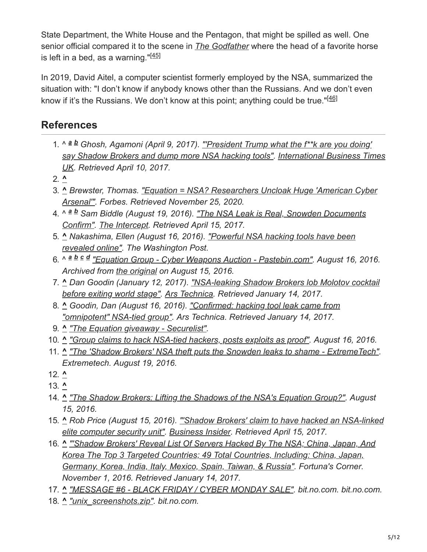State Department, the White House and the Pentagon, that might be spilled as well. One senior official compared it to the scene in *[The Godfather](https://en.wikipedia.org/wiki/The_Godfather)* where the head of a favorite horse is left in a bed, as a warning."<sup>[45]</sup>

In 2019, David Aitel, a computer scientist formerly employed by the NSA, summarized the situation with: "I don't know if anybody knows other than the Russians. And we don't even know if it's the Russians. We don't know at this point; anything could be true."<sup>[46]</sup>

# **References**

- 1. ^  $a$  *b* Ghosh, Agamoni (April 9, 2017). "President Trump what the f\*\*k are you doing' *[say Shadow Brokers and dump more NSA hacking tools". International Business Times](https://en.wikipedia.org/wiki/International_Business_Times_UK) UK. Retrieved April 10, 2017.*
- 2. **^**
- 3. **^** *[Brewster, Thomas. "Equation = NSA? Researchers Uncloak Huge 'American Cyber](https://www.forbes.com/sites/thomasbrewster/2015/02/16/nsa-equation-cyber-tool-treasure-chest/) Arsenal'". Forbes. Retrieved November 25, 2020.*
- 4. ^ <sup>a b</sup> Sam Biddle (August 19, 2016). <u>"The NSA Leak is Real, Snowden Documents</u> *Confirm". [The Intercept.](https://en.wikipedia.org/wiki/The_Intercept) Retrieved April 15, 2017.*
- 5. **^** *[Nakashima, Ellen \(August 16, 2016\). "Powerful NSA hacking tools have been](https://www.washingtonpost.com/world/national-security/powerful-nsa-hacking-tools-have-been-revealed-online/2016/08/16/bce4f974-63c7-11e6-96c0-37533479f3f5_story.html) revealed online". The Washington Post.*
- 6. ^ *["Equation Group Cyber Weapons Auction Pastebin.com"](https://archive.today/20160815133924/http://pastebin.com/NDTU5kJQ). August 16, 2016. a b c dArchived from [the original](http://pastebin.com/NDTU5kJQ) on August 15, 2016.*
- 7. **^** *[Dan Goodin \(January 12, 2017\). "NSA-leaking Shadow Brokers lob Molotov cocktail](https://arstechnica.com/security/2017/01/nsa-leaking-shadow-brokers-lob-molotov-cocktail-before-exiting-world-stage/) before exiting world stage". [Ars Technica](https://en.wikipedia.org/wiki/Ars_Technica). Retrieved January 14, 2017.*
- 8. **^** *[Goodin, Dan \(August 16, 2016\). "Confirmed: hacking tool leak came from](https://arstechnica.com/information-technology/2016/08/code-dumped-online-came-from-omnipotent-nsa-tied-hacking-group/) "omnipotent" NSA-tied group". Ars Technica. Retrieved January 14, 2017.*
- 9. **^** *["The Equation giveaway Securelist".](https://securelist.com/the-equation-giveaway/75812/)*
- 10. **^** *["Group claims to hack NSA-tied hackers, posts exploits as proof"](https://arstechnica.com/security/2016/08/group-claims-to-hack-nsa-tied-hackers-posts-exploits-as-proof/). August 16, 2016.*
- 11. **^** *["The 'Shadow Brokers' NSA theft puts the Snowden leaks to shame ExtremeTech".](https://www.extremetech.com/extreme/234031-your-guide-to-the-shadow-brokers-nsa-theft-which-puts-the-snowden-leaks-to-shame) Extremetech. August 19, 2016.*
- 12. **^**
- 13. **^**
- 14. **^** *["The Shadow Brokers: Lifting the Shadows of the NSA's Equation Group?"](https://www.riskbasedsecurity.com/2016/08/the-shadow-brokers-lifting-the-shadows-of-the-nsas-equation-group/). August 15, 2016.*
- 15. **^** *[Rob Price \(August 15, 2016\). "'Shadow Brokers' claim to have hacked an NSA-linked](http://www.businessinsider.com/shadow-brokers-claims-to-hack-equation-group-group-linked-to-nsa-2016-8?r=US&IR=T&IR=T) elite computer security unit". [Business Insider.](https://en.wikipedia.org/wiki/Business_Insider) Retrieved April 15, 2017.*
- 16. **^** *["'Shadow Brokers' Reveal List Of Servers Hacked By The NSA; China, Japan, And](http://fortunascorner.com/2016/11/01/shadow-brokers-reveal-list-of-servers-hacked-by-the-nsa-china-japan-and-korea-the-top-3-targeted-countries-49-total-countries-including-china-japan-germany-korea-india-italy-mexico-sp/) Korea The Top 3 Targeted Countries; 49 Total Countries, Including: China, Japan, Germany, Korea, India, Italy, Mexico, Spain, Taiwan, & Russia". Fortuna's Corner. November 1, 2016. Retrieved January 14, 2017.*
- 17. **^** *["MESSAGE #6 BLACK FRIDAY / CYBER MONDAY SALE".](https://bit.no.com:43110/theshadowbrokers.bit/post/message6/) bit.no.com. bit.no.com.*
- 18. **^** *["unix\\_screenshots.zip".](https://bit.no.com:43110/theshadowbrokers.bit/files/unix_screenshots.zip) bit.no.com.*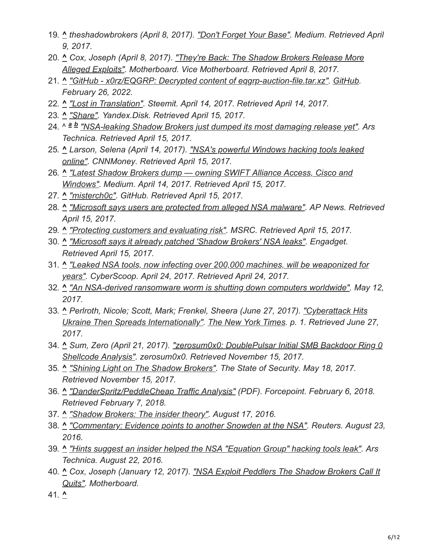- 19. **^** *theshadowbrokers (April 8, 2017). ["Don't Forget Your Base".](https://medium.com/@shadowbrokerss/dont-forget-your-base-867d304a94b1) Medium. Retrieved April 9, 2017.*
- 20. **^** *[Cox, Joseph \(April 8, 2017\). "They're Back: The Shadow Brokers Release More](https://www.vice.com/en_us/article/5387an/theyre-back-the-shadow-brokers-release-more-alleged-exploits) Alleged Exploits". Motherboard. Vice Motherboard. Retrieved April 8, 2017.*
- 21. **^** *["GitHub x0rz/EQGRP: Decrypted content of eqgrp-auction-file.tar.xz".](https://github.com/x0rz/EQGRP) [GitHub.](https://en.wikipedia.org/wiki/GitHub) February 26, 2022.*
- 22. **^** *["Lost in Translation"](https://steemit.com/shadowbrokers/@theshadowbrokers/lost-in-translation). Steemit. April 14, 2017. Retrieved April 14, 2017.*
- 23. **^** *["Share".](https://yadi.sk/d/NJqzpqo_3GxZA4) Yandex.Disk. Retrieved April 15, 2017.*
- 24. ^ *["NSA-leaking Shadow Brokers just dumped its most damaging release yet"](https://arstechnica.com/security/2017/04/nsa-leaking-shadow-brokers-just-dumped-its-most-damaging-release-yet/). Ars a bTechnica. Retrieved April 15, 2017.*
- 25. **^** *[Larson, Selena \(April 14, 2017\). "NSA's powerful Windows hacking tools leaked](https://money.cnn.com/2017/04/14/technology/windows-exploits-shadow-brokers/index.html) online". CNNMoney. Retrieved April 15, 2017.*
- 26. **^** *["Latest Shadow Brokers dump owning SWIFT Alliance Access, Cisco and](https://medium.com/@networksecurity/latest-shadow-brokers-dump-owning-swift-alliance-access-cisco-and-windows-7b7782270e70) Windows". Medium. April 14, 2017. Retrieved April 15, 2017.*
- 27. **^** *["misterch0c".](https://github.com/misterch0c/shadowbroker) GitHub. Retrieved April 15, 2017.*
- 28. **^** *["Microsoft says users are protected from alleged NSA malware"](https://apnews.com/7100004c2d7e4cc28b7e6b7d4e40f812/Microsoft-says-users-are-protected-from-alleged-NSA-malware). AP News. Retrieved April 15, 2017.*
- 29. **^** *["Protecting customers and evaluating risk".](https://blogs.technet.microsoft.com/msrc/2017/04/14/protecting-customers-and-evaluating-risk/) MSRC. Retrieved April 15, 2017.*
- 30. **^** *["Microsoft says it already patched 'Shadow Brokers' NSA leaks".](https://www.engadget.com/2017/04/15/microsoft-says-it-already-patched-several-shadow-brokers-nsa-l/) Engadget. Retrieved April 15, 2017.*
- 31. **^** *["Leaked NSA tools, now infecting over 200,000 machines, will be weaponized for](https://www.cyberscoop.com/leaked-nsa-tools-now-infecting-over-200000-machines-will-be-weaponized-for-years/) years". CyberScoop. April 24, 2017. Retrieved April 24, 2017.*
- 32. **^** *["An NSA-derived ransomware worm is shutting down computers worldwide"](https://arstechnica.com/security/2017/05/an-nsa-derived-ransomware-worm-is-shutting-down-computers-worldwide/?comments=1). May 12, 2017.*
- 33. **^** *Perlroth, Nicole; Scott, Mark; Frenkel, Sheera (June 27, 2017). "Cyberattack Hits [Ukraine Then Spreads Internationally". The New York Times. p. 1. Retrieved June 2](https://www.nytimes.com/2017/06/27/technology/ransomware-hackers.html)7, 2017.*
- 34. **^** *[Sum, Zero \(April 21, 2017\). "zerosum0x0: DoublePulsar Initial SMB Backdoor Ring 0](https://zerosum0x0.blogspot.com/2017/04/doublepulsar-initial-smb-backdoor-ring.html) Shellcode Analysis". zerosum0x0. Retrieved November 15, 2017.*
- 35. **^** *["Shining Light on The Shadow Brokers"](https://www.tripwire.com/state-of-security/security-data-protection/shining-light-shadow-brokers/). The State of Security. May 18, 2017. Retrieved November 15, 2017.*
- 36. **^** *["DanderSpritz/PeddleCheap Traffic Analysis"](https://www.forcepoint.com/sites/default/files/resources/files/datasheet_security_labs_dander_spritz_peddle_cheap_traffic_analysis_en.pdf) (PDF). Forcepoint. February 6, 2018. Retrieved February 7, 2018.*
- 37. **^** *["Shadow Brokers: The insider theory"](https://medium.com/@msuiche/shadowbrokers-the-insider-theory-ded733b39a55#.qmppg2xj6). August 17, 2016.*
- 38. **^** *["Commentary: Evidence points to another Snowden at the NSA"](https://www.reuters.com/article/us-intelligence-nsa-commentary-idUSKCN10X01P). Reuters. August 23, 2016.*
- 39. **^** *["Hints suggest an insider helped the NSA "Equation Group" hacking tools leak".](https://arstechnica.com/security/2016/08/hints-suggest-an-insider-helped-the-nsa-equation-group-hacking-tools-leak/) Ars Technica. August 22, 2016.*
- 40. **^** *[Cox, Joseph \(January 12, 2017\). "NSA Exploit Peddlers The Shadow Brokers Call It](http://motherboard.vice.com/read/nsa-exploit-peddlers-the-shadow-brokers-call-it-quits) Quits". Motherboard.*
- 41. **^**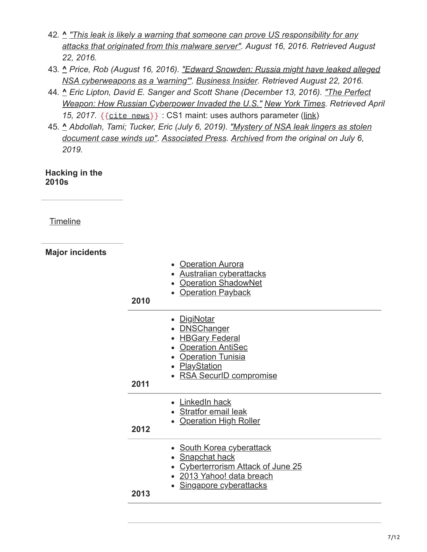- 42. **^** *"This leak is likely a warning that someone can prove US responsibility for any [attacks that originated from this malware server". August 16, 2016. Retrieved Au](https://twitter.com/Snowden/status/765515087062982656)gust 22, 2016.*
- 43. **^** *[Price, Rob \(August 16, 2016\). "Edward Snowden: Russia might have leaked alleged](https://www.businessinsider.com/edward-snowden-shadow-brokers-russia-leaked-nsa-equation-group-files-warning-dnc-hacking-2016-8) NSA cyberweapons as a 'warning'". [Business Insider](https://en.wikipedia.org/wiki/Business_Insider). Retrieved August 22, 2016.*
- 44. **^** *[Eric Lipton, David E. Sanger and Scott Shane \(December 13, 2016\). "The Perfect](https://www.nytimes.com/2016/12/13/us/politics/russia-hack-election-dnc.html) Weapon: How Russian Cyberpower Invaded the U.S." [New York Times](https://en.wikipedia.org/wiki/New_York_Times). Retrieved April 15, 2017.* {{[cite](https://en.wikipedia.org/wiki/Template:Cite_news) news}} : CS1 maint: uses authors parameter ([link\)](https://en.wikipedia.org/wiki/Category:CS1_maint:_uses_authors_parameter)
- 45. **^** *[Abdollah, Tami; Tucker, Eric \(July 6, 2019\). "Mystery of NSA leak lingers as stolen](https://abcnews.go.com/Technology/wireStory/mystery-nsa-leak-lingers-stolen-document-case-winds-64163448) document case winds up". [Associated Press.](https://en.wikipedia.org/wiki/Associated_Press) [Archived](https://web.archive.org/web/20190706152343/https://abcnews.go.com/Technology/wireStory/mystery-nsa-leak-lingers-stolen-document-case-winds-64163448) from the original on July 6, 2019.*

**Hacking in the 2010s**

**[Timeline](https://en.wikipedia.org/wiki/Timeline_of_computer_security_hacker_history#2010s)** 

| <b>Major incidents</b> | 2010 | • Operation Aurora<br>• Australian cyberattacks<br><b>Operation ShadowNet</b><br>• Operation Payback                                                                                         |
|------------------------|------|----------------------------------------------------------------------------------------------------------------------------------------------------------------------------------------------|
|                        | 2011 | • DigiNotar<br>• <b>DNSChanger</b><br>• HBGary Federal<br><b>Operation AntiSec</b><br>$\bullet$<br><b>Operation Tunisia</b><br>$\bullet$<br>• <b>PlayStation</b><br>• RSA SecurID compromise |
|                        | 2012 | LinkedIn hack<br>$\bullet$<br>· Stratfor email leak<br>• Operation High Roller                                                                                                               |
|                        | 2013 | <b>South Korea cyberattack</b><br>$\bullet$<br>• Snapchat hack<br><b>Cyberterrorism Attack of June 25</b><br>• 2013 Yahoo! data breach<br>Singapore cyberattacks                             |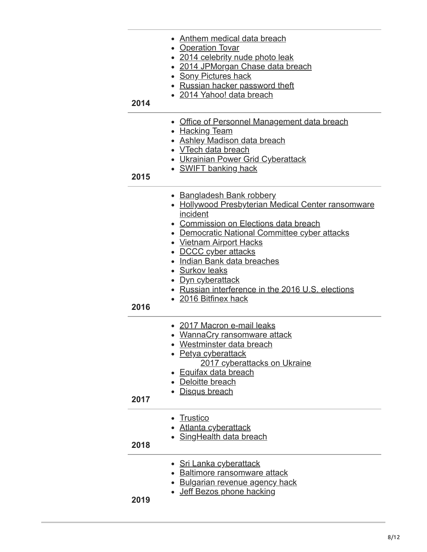| 2014 | Anthem medical data breach<br>• Operation Tovar<br>• 2014 celebrity nude photo leak<br>2014 JPMorgan Chase data breach<br><b>Sony Pictures hack</b><br>Russian hacker password theft<br>• 2014 Yahoo! data breach                                                                                                                                                                                   |
|------|-----------------------------------------------------------------------------------------------------------------------------------------------------------------------------------------------------------------------------------------------------------------------------------------------------------------------------------------------------------------------------------------------------|
| 2015 | Office of Personnel Management data breach<br>• Hacking Team<br>• Ashley Madison data breach<br>• VTech data breach<br><b>Ukrainian Power Grid Cyberattack</b><br>• SWIFT banking hack                                                                                                                                                                                                              |
| 2016 | • Bangladesh Bank robbery<br>• Hollywood Presbyterian Medical Center ransomware<br>incident<br>• Commission on Elections data breach<br>• Democratic National Committee cyber attacks<br><b>Vietnam Airport Hacks</b><br>• DCCC cyber attacks<br>Indian Bank data breaches<br>• Surkov leaks<br><u>Dyn cyberattack</u><br>• Russian interference in the 2016 U.S. elections<br>• 2016 Bitfinex hack |
| 2017 | • 2017 Macron e-mail leaks<br>• WannaCry ransomware attack<br>Westminster data breach<br>• Petya cyberattack<br>2017 cyberattacks on Ukraine<br><b>Equifax data breach</b><br>Deloitte breach<br>Disqus breach                                                                                                                                                                                      |
| 2018 | <b>Trustico</b><br><u>Atlanta cyberattack</u><br>• SingHealth data breach                                                                                                                                                                                                                                                                                                                           |
| 2019 | • Sri Lanka cyberattack<br><b>Baltimore ransomware attack</b><br><b>Bulgarian revenue agency hack</b><br>Jeff Bezos phone hacking                                                                                                                                                                                                                                                                   |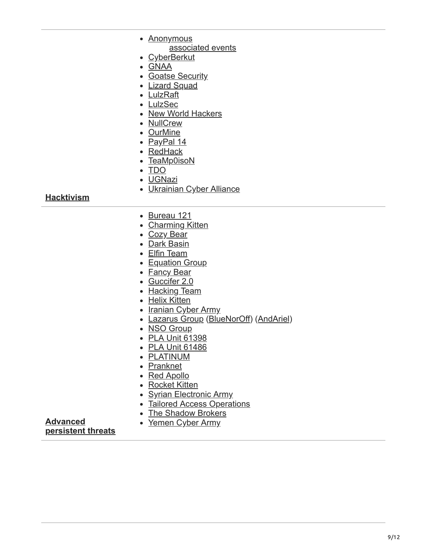|                   | • Anonymous                             |
|-------------------|-----------------------------------------|
|                   | associated events                       |
|                   | <u>CyberBerkut</u>                      |
|                   | • GNAA                                  |
|                   | • Goatse Security                       |
|                   | • Lizard Squad                          |
|                   | • LulzRaft                              |
|                   | • LulzSec                               |
|                   | • New World Hackers                     |
|                   | • NullCrew                              |
|                   | • OurMine                               |
|                   | • PayPal 14                             |
|                   | • RedHack                               |
|                   | • TeaMp0isoN                            |
|                   | $\bullet$ TDO                           |
|                   | · UGNazi                                |
|                   | • Ukrainian Cyber Alliance              |
| <b>Hacktivism</b> |                                         |
|                   |                                         |
|                   | • <u>Bureau 121</u>                     |
|                   | • Charming Kitten                       |
|                   | • Cozy Bear                             |
|                   | • Dark Basin                            |
|                   | • Elfin Team                            |
|                   | • Equation Group                        |
|                   | • Fancy Bear                            |
|                   | · Guccifer 2.0                          |
|                   | • Hacking Team                          |
|                   | • Helix Kitten                          |
|                   | • Iranian Cyber Army                    |
|                   | • Lazarus Group (BlueNorOff) (AndAriel) |
|                   | • NSO Group                             |
|                   | • PLA Unit 61398                        |
|                   | • PLA Unit 61486                        |
|                   | • PLATINUM                              |
|                   | • Pranknet                              |
|                   | • Red Apollo                            |
|                   | • Rocket Kitten                         |
|                   | • Syrian Electronic Army                |

- [Tailored Access Operations](https://en.wikipedia.org/wiki/Tailored_Access_Operations)
- The Shadow Brokers
- [Yemen Cyber Army](https://en.wikipedia.org/wiki/Yemen_Cyber_Army)

**Advanced [persistent threats](https://en.wikipedia.org/wiki/Advanced_persistent_threat)**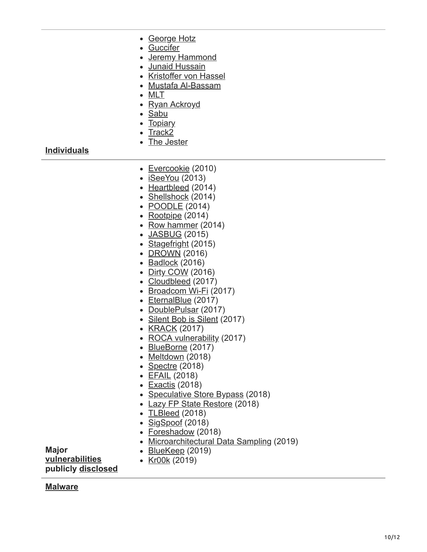- [George Hotz](https://en.wikipedia.org/wiki/George_Hotz)
- [Guccifer](https://en.wikipedia.org/wiki/Guccifer)
- [Jeremy Hammond](https://en.wikipedia.org/wiki/Jeremy_Hammond)
- [Junaid Hussain](https://en.wikipedia.org/wiki/Junaid_Hussain)
- [Kristoffer von Hassel](https://en.wikipedia.org/wiki/Kristoffer_von_Hassel)
- [Mustafa Al-Bassam](https://en.wikipedia.org/wiki/Mustafa_Al-Bassam)
- [MLT](https://en.wikipedia.org/wiki/MLT_(hacktivist))
- [Ryan Ackroyd](https://en.wikipedia.org/wiki/Ryan_Ackroyd)
- [Sabu](https://en.wikipedia.org/wiki/Hector_Monsegur)
- [Topiary](https://en.wikipedia.org/wiki/Topiary_(hacktivist))
- $\bullet$  [Track2](https://en.wikipedia.org/wiki/Roman_Seleznev)
- [The Jester](https://en.wikipedia.org/wiki/The_Jester_(hacktivist))

**[Individuals](https://en.wikipedia.org/wiki/Hacker)**

- [Evercookie](https://en.wikipedia.org/wiki/Evercookie) (2010)
- $\bullet$  [iSeeYou](https://en.wikipedia.org/wiki/ISeeYou) (2013)
- [Heartbleed](https://en.wikipedia.org/wiki/Heartbleed) (2014)
- [Shellshock](https://en.wikipedia.org/wiki/Shellshock_(software_bug)) (2014)
- **[POODLE](https://en.wikipedia.org/wiki/POODLE)** (2014)
- $\cdot$  [Rootpipe](https://en.wikipedia.org/wiki/Rootpipe) (2014)
- [Row hammer](https://en.wikipedia.org/wiki/Row_hammer)  $(2014)$
- [JASBUG](https://en.wikipedia.org/wiki/JASBUG) (2015)
- [Stagefright](https://en.wikipedia.org/wiki/Stagefright_(bug)) (2015)
- [DROWN](https://en.wikipedia.org/wiki/DROWN_attack) (2016)
- [Badlock](https://en.wikipedia.org/wiki/Badlock) (2016)
- [Dirty COW](https://en.wikipedia.org/wiki/Dirty_COW) (2016)
- [Cloudbleed](https://en.wikipedia.org/wiki/Cloudbleed) (2017)
- [Broadcom Wi-Fi](https://en.wikipedia.org/wiki/Broadcom_Corporation#soc-wifi-vulns) (2017)
- [EternalBlue](https://en.wikipedia.org/wiki/EternalBlue) (2017)
- [DoublePulsar](https://en.wikipedia.org/wiki/DoublePulsar) (2017)
- [Silent Bob is Silent](https://en.wikipedia.org/wiki/Intel_Active_Management_Technology#Silent_Bob_is_Silent) (2017)
- [KRACK](https://en.wikipedia.org/wiki/KRACK) (2017)
- [ROCA vulnerability](https://en.wikipedia.org/wiki/ROCA_vulnerability) (2017)
- [BlueBorne](https://en.wikipedia.org/wiki/BlueBorne_(security_vulnerability)) (2017)
- [Meltdown](https://en.wikipedia.org/wiki/Meltdown_(security_vulnerability)) (2018)
- [Spectre](https://en.wikipedia.org/wiki/Spectre_(security_vulnerability)) (2018)
- [EFAIL](https://en.wikipedia.org/wiki/EFAIL) (2018)
- [Exactis](https://en.wikipedia.org/wiki/Exactis) (2018)
- [Speculative Store Bypass](https://en.wikipedia.org/wiki/Speculative_Store_Bypass) (2018)
- [Lazy FP State Restore](https://en.wikipedia.org/wiki/Lazy_FP_State_Restore) (2018)
- [TLBleed](https://en.wikipedia.org/wiki/TLBleed) (2018)
- [SigSpoof](https://en.wikipedia.org/wiki/SigSpoof) (2018)
- [Foreshadow](https://en.wikipedia.org/wiki/Foreshadow) (2018)
- [Microarchitectural Data Sampling](https://en.wikipedia.org/wiki/Microarchitectural_Data_Sampling) (2019)
- [BlueKeep](https://en.wikipedia.org/wiki/BlueKeep) (2019) • [Kr00k](https://en.wikipedia.org/wiki/Kr00k) (2019)

**[vulnerabilities](https://en.wikipedia.org/wiki/Vulnerability_(computing)) publicly [disclosed](https://en.wikipedia.org/wiki/Full_disclosure_(computer_security))**

**[Malware](https://en.wikipedia.org/wiki/Malware)**

**Major**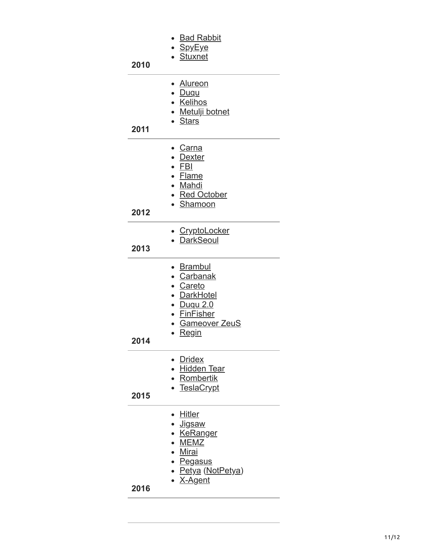| 2010 | ∙ <u>Bad Rabbit</u><br>∙ <u>SpyEye</u><br>• Stuxnet                                                                                 |
|------|-------------------------------------------------------------------------------------------------------------------------------------|
| 2011 | • Alureon<br>∙ <u>Duqu</u><br>· Kelihos<br>• Metulji botnet<br>• Stars                                                              |
| 2012 | • <u>Carna</u><br>• <u>Dexter</u><br>• <u>FBI</u><br>• Flame<br>• Mahdi<br>• Red October<br>• Shamoon                               |
| 2013 | • CryptoLocker<br>• DarkSeoul                                                                                                       |
| 2014 | • Brambul<br>• Carbanak<br>· Careto<br>• DarkHotel<br><u>• Duqu 2.0</u><br>• FinFisher<br>• Gameover ZeuS<br>Regin                  |
| 2015 | • Dridex<br>· Hidden Tear<br>· Rombertik<br>• TeslaCrypt                                                                            |
| 2016 | ∙ <u>Hitler</u><br><u>• Jigsaw</u><br>• <u>KeRanger</u><br>• MEMZ<br>• Mirai<br>• Pegasus<br>• <u>Petya</u> (NotPetya)<br>• X-Agent |